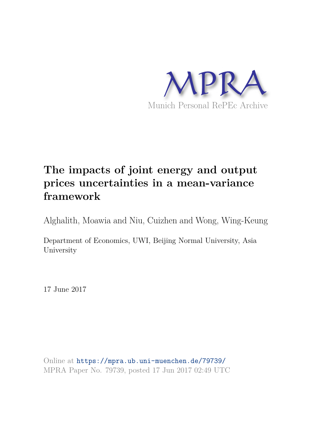

## **The impacts of joint energy and output prices uncertainties in a mean-variance framework**

Alghalith, Moawia and Niu, Cuizhen and Wong, Wing-Keung

Department of Economics, UWI, Beijing Normal University, Asia University

17 June 2017

Online at https://mpra.ub.uni-muenchen.de/79739/ MPRA Paper No. 79739, posted 17 Jun 2017 02:49 UTC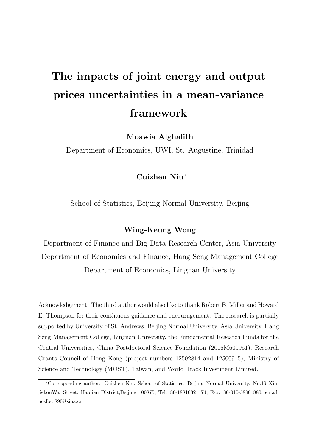# The impacts of joint energy and output prices uncertainties in a mean-variance framework

Moawia Alghalith

Department of Economics, UWI, St. Augustine, Trinidad

#### Cuizhen Niu<sup>∗</sup>

School of Statistics, Beijing Normal University, Beijing

#### Wing-Keung Wong

Department of Finance and Big Data Research Center, Asia University Department of Economics and Finance, Hang Seng Management College Department of Economics, Lingnan University

Acknowledgement: The third author would also like to thank Robert B. Miller and Howard E. Thompson for their continuous guidance and encouragement. The research is partially supported by University of St. Andrews, Beijing Normal University, Asia University, Hang Seng Management College, Lingnan University, the Fundamental Research Funds for the Central Universities, China Postdoctoral Science Foundation (2016M600951), Research Grants Council of Hong Kong (project numbers 12502814 and 12500915), Ministry of Science and Technology (MOST), Taiwan, and World Track Investment Limited.

<sup>∗</sup>Corresponding author: Cuizhen Niu, School of Statistics, Beijing Normal University, No.19 XinjiekouWai Street, Haidian District,Beijing 100875, Tel: 86-18810321174, Fax: 86-010-58801880, email: nczlbc 890@sina.cn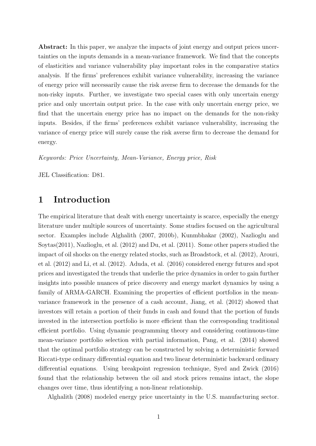Abstract: In this paper, we analyze the impacts of joint energy and output prices uncertainties on the inputs demands in a mean-variance framework. We find that the concepts of elasticities and variance vulnerability play important roles in the comparative statics analysis. If the firms' preferences exhibit variance vulnerability, increasing the variance of energy price will necessarily cause the risk averse firm to decrease the demands for the non-risky inputs. Further, we investigate two special cases with only uncertain energy price and only uncertain output price. In the case with only uncertain energy price, we find that the uncertain energy price has no impact on the demands for the non-risky inputs. Besides, if the firms' preferences exhibit variance vulnerability, increasing the variance of energy price will surely cause the risk averse firm to decrease the demand for energy.

Keywords: Price Uncertainty, Mean-Variance, Energy price, Risk

JEL Classification: D81.

## 1 Introduction

The empirical literature that dealt with energy uncertainty is scarce, especially the energy literature under multiple sources of uncertainty. Some studies focused on the agricultural sector. Examples include Alghalith (2007, 2010b), Kunmbhakar (2002), Nazlioglu and Soytas(2011), Nazlioglu, et al. (2012) and Du, et al. (2011). Some other papers studied the impact of oil shocks on the energy related stocks, such as Broadstock, et al. (2012), Arouri, et al. (2012) and Li, et al. (2012). Aduda, et al. (2016) considered energy futures and spot prices and investigated the trends that underlie the price dynamics in order to gain further insights into possible nuances of price discovery and energy market dynamics by using a family of ARMA-GARCH. Examining the properties of efficient portfolios in the meanvariance framework in the presence of a cash account, Jiang, et al. (2012) showed that investors will retain a portion of their funds in cash and found that the portion of funds invested in the intersection portfolio is more efficient than the corresponding traditional efficient portfolio. Using dynamic programming theory and considering continuous-time mean-variance portfolio selection with partial information, Pang, et al. (2014) showed that the optimal portfolio strategy can be constructed by solving a deterministic forward Riccati-type ordinary differential equation and two linear deterministic backward ordinary differential equations. Using breakpoint regression technique, Syed and Zwick (2016) found that the relationship between the oil and stock prices remains intact, the slope changes over time, thus identifying a non-linear relationship.

Alghalith (2008) modeled energy price uncertainty in the U.S. manufacturing sector.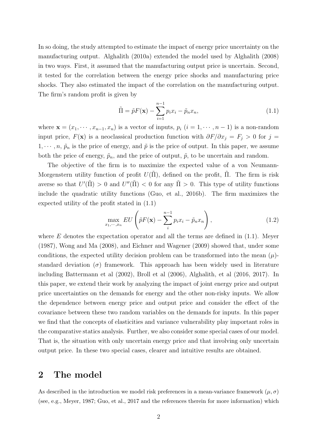In so doing, the study attempted to estimate the impact of energy price uncertainty on the manufacturing output. Alghalith (2010a) extended the model used by Alghalith (2008) in two ways. First, it assumed that the manufacturing output price is uncertain. Second, it tested for the correlation between the energy price shocks and manufacturing price shocks. They also estimated the impact of the correlation on the manufacturing output. The firm's random profit is given by

$$
\tilde{\Pi} = \tilde{p}F(\mathbf{x}) - \sum_{i=1}^{n-1} p_i x_i - \tilde{p}_n x_n,
$$
\n(1.1)

where  $\mathbf{x} = (x_1, \dots, x_{n-1}, x_n)$  is a vector of inputs,  $p_i$   $(i = 1, \dots, n-1)$  is a non-random input price,  $F(\mathbf{x})$  is a neoclassical production function with  $\partial F/\partial x_i = F_i > 0$  for  $j =$  $1, \dots, n, \tilde{p}_n$  is the price of energy, and  $\tilde{p}$  is the price of output. In this paper, we assume both the price of energy,  $\tilde{p}_n$ , and the price of output,  $\tilde{p}$ , to be uncertain and random.

The objective of the firm is to maximize the expected value of a von Neumann-Morgenstern utility function of profit  $U(\Pi)$ , defined on the profit,  $\Pi$ . The firm is risk averse so that  $U'(\tilde{\Pi}) > 0$  and  $U''(\tilde{\Pi}) < 0$  for any  $\tilde{\Pi} > 0$ . This type of utility functions include the quadratic utility functions (Guo, et al., 2016b). The firm maximizes the expected utility of the profit stated in (1.1)

$$
\max_{x_1,\cdots,x_n} EU\left(\tilde{p}F(\mathbf{x}) - \sum_{i}^{n-1} p_i x_i - \tilde{p}_n x_n\right),\tag{1.2}
$$

where  $E$  denotes the expectation operator and all the terms are defined in  $(1.1)$ . Meyer (1987), Wong and Ma (2008), and Eichner and Wagener (2009) showed that, under some conditions, the expected utility decision problem can be transformed into the mean  $(\mu)$ standard deviation ( $\sigma$ ) framework. This approach has been widely used in literature including Battermann et al (2002), Broll et al (2006), Alghalith, et al (2016, 2017). In this paper, we extend their work by analyzing the impact of joint energy price and output price uncertainties on the demands for energy and the other non-risky inputs. We allow the dependence between energy price and output price and consider the effect of the covariance between these two random variables on the demands for inputs. In this paper we find that the concepts of elasticities and variance vulnerability play important roles in the comparative statics analysis. Further, we also consider some special cases of our model. That is, the situation with only uncertain energy price and that involving only uncertain output price. In these two special cases, clearer and intuitive results are obtained.

## 2 The model

As described in the introduction we model risk preferences in a mean-variance framework  $(\mu, \sigma)$ (see, e.g., Meyer, 1987; Guo, et al., 2017 and the references therein for more information) which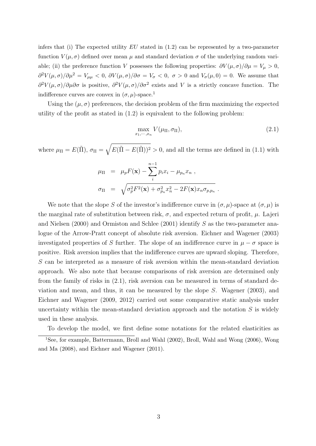infers that (i) The expected utility  $EU$  stated in (1.2) can be represented by a two-parameter function  $V(\mu, \sigma)$  defined over mean  $\mu$  and standard deviation  $\sigma$  of the underlying random variable; (ii) the preference function V possesses the following properties:  $\partial V(\mu, \sigma)/\partial \mu = V_{\mu} > 0$ ,  $\partial^2 V(\mu, \sigma)/\partial \mu^2 = V_{\mu\mu} < 0$ ,  $\partial V(\mu, \sigma)/\partial \sigma = V_{\sigma} < 0$ ,  $\sigma > 0$  and  $V_{\sigma}(\mu, 0) = 0$ . We assume that  $\partial^2 V(\mu,\sigma)/\partial \mu \partial \sigma$  is positive,  $\partial^2 V(\mu,\sigma)/\partial \sigma^2$  exists and V is a strictly concave function. The indifference curves are convex in  $(\sigma, \mu)$ -space.<sup>1</sup>

Using the  $(\mu, \sigma)$  preferences, the decision problem of the firm maximizing the expected utility of the profit as stated in  $(1.2)$  is equivalent to the following problem:

$$
\max_{x_1,\cdots,x_n} V(\mu_{\Pi}, \sigma_{\Pi}),\tag{2.1}
$$

.

where  $\mu_{\Pi} = E(\tilde{\Pi}), \sigma_{\Pi} = \sqrt{E(\tilde{\Pi} - E(\tilde{\Pi}))^2} > 0$ , and all the terms are defined in (1.1) with

$$
\mu_{\Pi} = \mu_p F(\mathbf{x}) - \sum_{i}^{n-1} p_i x_i - \mu_{p_n} x_n ,
$$
  

$$
\sigma_{\Pi} = \sqrt{\sigma_p^2 F^2(\mathbf{x}) + \sigma_{p_n}^2 x_n^2 - 2F(\mathbf{x}) x_n \sigma_{p,p_n}}
$$

We note that the slope S of the investor's indifference curve in  $(\sigma, \mu)$ -space at  $(\sigma, \mu)$  is the marginal rate of substitution between risk,  $\sigma$ , and expected return of profit,  $\mu$ . Lajeri and Nielsen (2000) and Ormiston and Schlee (2001) identify S as the two-parameter analogue of the Arrow-Pratt concept of absolute risk aversion. Eichner and Wagener (2003) investigated properties of S further. The slope of an indifference curve in  $\mu - \sigma$  space is positive. Risk aversion implies that the indifference curves are upward sloping. Therefore, S can be interpreted as a measure of risk aversion within the mean-standard deviation approach. We also note that because comparisons of risk aversion are determined only from the family of risks in (2.1), risk aversion can be measured in terms of standard deviation and mean, and thus, it can be measured by the slope S. Wagener (2003), and Eichner and Wagener (2009, 2012) carried out some comparative static analysis under uncertainty within the mean-standard deviation approach and the notation  $S$  is widely used in these analysis.

To develop the model, we first define some notations for the related elasticities as

<sup>1</sup>See, for example, Battermann, Broll and Wahl (2002), Broll, Wahl and Wong (2006), Wong and Ma (2008), and Eichner and Wagener (2011).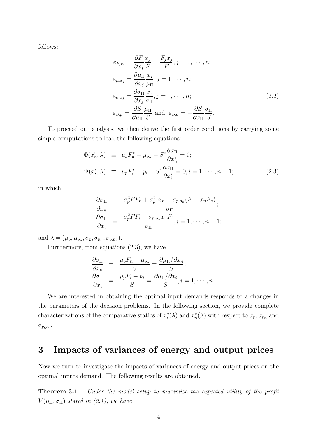follows:

$$
\varepsilon_{F,x_j} = \frac{\partial F}{\partial x_j} \frac{x_j}{F} = \frac{F_j x_j}{F}, j = 1, \dots, n;
$$
  
\n
$$
\varepsilon_{\mu,x_j} = \frac{\partial \mu_{\Pi}}{\partial x_j} \frac{x_j}{\mu_{\Pi}}, j = 1, \dots, n;
$$
  
\n
$$
\varepsilon_{\sigma,x_j} = \frac{\partial \sigma_{\Pi}}{\partial x_j} \frac{x_j}{\sigma_{\Pi}}, j = 1, \dots, n;
$$
  
\n
$$
\varepsilon_{S,\mu} = \frac{\partial S}{\partial \mu_{\Pi}} \frac{\mu_{\Pi}}{S}; \text{and } \varepsilon_{S,\sigma} = -\frac{\partial S}{\partial \sigma_{\Pi}} \frac{\sigma_{\Pi}}{S}.
$$
\n(2.2)

To proceed our analysis, we then derive the first order conditions by carrying some simple computations to lead the following equations:

$$
\Phi(x_n^*, \lambda) \equiv \mu_p F_n^* - \mu_{p_n} - S^* \frac{\partial \sigma_{\Pi}}{\partial x_n^*} = 0; \n\Psi(x_i^*, \lambda) \equiv \mu_p F_i^* - p_i - S^* \frac{\partial \sigma_{\Pi}}{\partial x_i^*} = 0, i = 1, \dots, n-1; \tag{2.3}
$$

in which

$$
\frac{\partial \sigma_{\Pi}}{\partial x_n} = \frac{\sigma_p^2 FF_n + \sigma_{p_n}^2 x_n - \sigma_{p,p_n}(F + x_n F_n)}{\sigma_{\Pi}}; \n\frac{\partial \sigma_{\Pi}}{\partial x_i} = \frac{\sigma_p^2 FF_i - \sigma_{p,p_n} x_n F_i}{\sigma_{\Pi}}, i = 1, \cdots, n-1;
$$

and  $\lambda = (\mu_p, \mu_{p_n}, \sigma_p, \sigma_{p_n}, \sigma_{p,p_n}).$ 

Furthermore, from equations (2.3), we have

$$
\frac{\partial \sigma_{\Pi}}{\partial x_n} = \frac{\mu_p F_n - \mu_{p_n}}{S} = \frac{\partial \mu_{\Pi}/\partial x_n}{S};
$$
  

$$
\frac{\partial \sigma_{\Pi}}{\partial x_i} = \frac{\mu_p F_i - p_i}{S} = \frac{\partial \mu_{\Pi}/\partial x_i}{S}, i = 1, \dots, n - 1.
$$

We are interested in obtaining the optimal input demands responds to a changes in the parameters of the decision problems. In the following section, we provide complete characterizations of the comparative statics of  $x_i^*$  $i^*(\lambda)$  and  $x_n^*$  $_n^*(\lambda)$  with respect to  $\sigma_p, \sigma_{p_n}$  and  $\sigma_{p,p_n}$ .

## 3 Impacts of variances of energy and output prices

Now we turn to investigate the impacts of variances of energy and output prices on the optimal inputs demand. The following results are obtained.

Theorem 3.1 Under the model setup to maximize the expected utility of the profit  $V(\mu_{\Pi}, \sigma_{\Pi})$  stated in (2.1), we have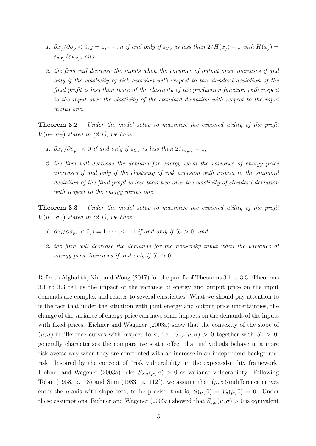- 1.  $\partial x_j/\partial \sigma_p < 0, j = 1, \cdots, n$  if and only if  $\varepsilon_{S,\sigma}$  is less than  $2/H(x_j) 1$  with  $H(x_j) =$  $\varepsilon_{\sigma,x_j}/\varepsilon_{F,x_j}$ ; and
- 2. the firm will decrease the inputs when the variance of output price increases if and only if the elasticity of risk aversion with respect to the standard deviation of the final profit is less than twice of the elasticity of the production function with respect to the input over the elasticity of the standard deviation with respect to the input minus one.

Theorem 3.2 Under the model setup to maximize the expected utility of the profit  $V(\mu_{\Pi}, \sigma_{\Pi})$  stated in (2.1), we have

- 1.  $\partial x_n/\partial \sigma_{p_n} < 0$  if and only if  $\varepsilon_{S,\sigma}$  is less than  $2/\varepsilon_{\sigma,x_n} 1$ ;
- 2. the firm will decrease the demand for energy when the variance of energy price increases if and only if the elasticity of risk aversion with respect to the standard deviation of the final profit is less than two over the elasticity of standard deviation with respect to the energy minus one.

**Theorem 3.3** Under the model setup to maximize the expected utility of the profit  $V(\mu_{\Pi}, \sigma_{\Pi})$  stated in (2.1), we have

- 1.  $\partial x_i/\partial \sigma_{p_n} < 0, i = 1, \cdots, n-1$  if and only if  $S_{\sigma} > 0$ , and
- 2. the firm will decrease the demands for the non-risky input when the variance of energy price increases if and only if  $S_{\sigma} > 0$ .

Refer to Alghalith, Niu, and Wong (2017) for the proofs of Theorems 3.1 to 3.3. Theorems 3.1 to 3.3 tell us the impact of the variance of energy and output price on the input demands are complex and relates to several elasticities. What we should pay attention to is the fact that under the situation with joint energy and output price uncertainties, the change of the variance of energy price can have some impacts on the demands of the inputs with fixed prices. Eichner and Wagener (2003a) show that the convexity of the slope of  $(\mu, \sigma)$ -indifference curves with respect to  $\sigma$ , i.e.,  $S_{\sigma,\sigma}(\mu, \sigma) > 0$  together with  $S_{\sigma} > 0$ , generally characterizes the comparative static effect that individuals behave in a more risk-averse way when they are confronted with an increase in an independent background risk. Inspired by the concept of "risk vulnerability' in the expected-utility framework, Eichner and Wagener (2003a) refer  $S_{\sigma,\sigma}(\mu,\sigma) > 0$  as variance vulnerability. Following Tobin (1958, p. 78) and Sinn (1983, p. 112f), we assume that  $(\mu, \sigma)$ -indifference curves enter the  $\mu$ -axis with slope zero, to be precise; that is,  $S(\mu, 0) = V_{\sigma}(\mu, 0) = 0$ . Under these assumptions, Eichner and Wagener (2003a) showed that  $S_{\sigma,\sigma}(\mu,\sigma) > 0$  is equivalent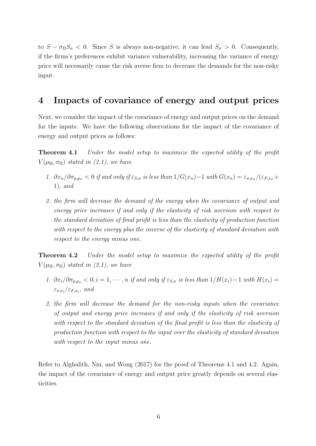to  $S - \sigma_{\Pi} S_{\sigma} < 0$ . Since S is always non-negative, it can lead  $S_{\sigma} > 0$ . Consequently, if the firms's preferences exhibit variance vulnerability, increasing the variance of energy price will necessarily cause the risk averse firm to decrease the demands for the non-risky input.

### 4 Impacts of covariance of energy and output prices

Next, we consider the impact of the covariance of energy and output prices on the demand for the inputs. We have the following observations for the impact of the covariance of energy and output prices as follows:

**Theorem 4.1** Under the model setup to maximize the expected utility of the profit  $V(\mu_{\Pi}, \sigma_{\Pi})$  stated in (2.1), we have

- 1.  $\partial x_n/\partial \sigma_{p,p_n} < 0$  if and only if  $\varepsilon_{S,\sigma}$  is less than  $1/G(x_n)-1$  with  $G(x_n) = \varepsilon_{\sigma,x_n}/(\varepsilon_{F,x_n}+\varepsilon_{F,x_n})$ 1), and
- 2. the firm will decrease the demand of the energy when the covariance of output and energy price increases if and only if the elasticity of risk aversion with respect to the standard deviation of final profit is less than the elasticity of production function with respect to the energy plus the inverse of the elasticity of standard deviation with respect to the energy minus one.

Theorem 4.2 Under the model setup to maximize the expected utility of the profit  $V(\mu_{\Pi}, \sigma_{\Pi})$  stated in (2.1), we have

- 1.  $\partial x_i/\partial \sigma_{p,p_n} < 0, i = 1, \cdots, n$  if and only if  $\varepsilon_{S,\sigma}$  is less than  $1/H(x_i)-1$  with  $H(x_i)=$  $\varepsilon_{\sigma,x_i}/\varepsilon_{F,x_i},$  and
- 2. the firm will decrease the demand for the non-risky inputs when the covariance of output and energy price increases if and only if the elasticity of risk aversion with respect to the standard deviation of the final profit is less than the elasticity of production function with respect to the input over the elasticity of standard deviation with respect to the input minus one.

Refer to Alghalith, Niu, and Wong (2017) for the proof of Theorems 4.1 and 4.2. Again, the impact of the covariance of energy and output price greatly depends on several elasticities.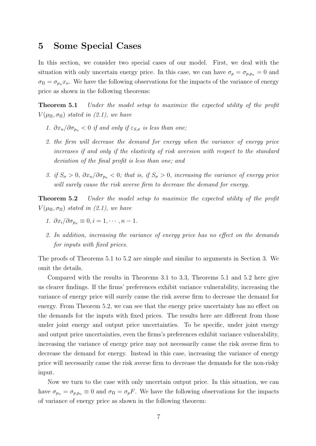#### 5 Some Special Cases

In this section, we consider two special cases of our model. First, we deal with the situation with only uncertain energy price. In this case, we can have  $\sigma_p = \sigma_{p,p_n} = 0$  and  $\sigma_{\Pi} = \sigma_{p_n} x_n$ . We have the following observations for the impacts of the variance of energy price as shown in the following theorems:

Theorem 5.1 Under the model setup to maximize the expected utility of the profit  $V(\mu_{\Pi}, \sigma_{\Pi})$  stated in (2.1), we have

- 1.  $\partial x_n/\partial \sigma_{p_n} < 0$  if and only if  $\varepsilon_{S,\sigma}$  is less than one;
- 2. the firm will decrease the demand for energy when the variance of energy price increases if and only if the elasticity of risk aversion with respect to the standard deviation of the final profit is less than one; and
- 3. if  $S_{\sigma} > 0$ ,  $\partial x_n/\partial \sigma_{p_n} < 0$ ; that is, if  $S_{\sigma} > 0$ , increasing the variance of energy price will surely cause the risk averse firm to decrease the demand for energy.

**Theorem 5.2** Under the model setup to maximize the expected utility of the profit  $V(\mu_{\Pi}, \sigma_{\Pi})$  stated in (2.1), we have

- 1.  $\partial x_i/\partial \sigma_{p_n} \equiv 0, i = 1, \cdots, n-1.$
- 2. In addition, increasing the variance of energy price has no effect on the demands for inputs with fixed prices.

The proofs of Theorems 5.1 to 5.2 are simple and similar to arguments in Section 3. We omit the details.

Compared with the results in Theorems 3.1 to 3.3, Theorems 5.1 and 5.2 here give us clearer findings. If the firms' preferences exhibit variance vulnerability, increasing the variance of energy price will surely cause the risk averse firm to decrease the demand for energy. From Theorem 5.2, we can see that the energy price uncertainty has no effect on the demands for the inputs with fixed prices. The results here are different from those under joint energy and output price uncertainties. To be specific, under joint energy and output price uncertainties, even the firms's preferences exhibit variance vulnerability, increasing the variance of energy price may not necessarily cause the risk averse firm to decrease the demand for energy. Instead in this case, increasing the variance of energy price will necessarily cause the risk averse firm to decrease the demands for the non-risky input.

Now we turn to the case with only uncertain output price. In this situation, we can have  $\sigma_{p_n} = \sigma_{p,p_n} \equiv 0$  and  $\sigma_{\Pi} = \sigma_p F$ . We have the following observations for the impacts of variance of energy price as shown in the following theorem: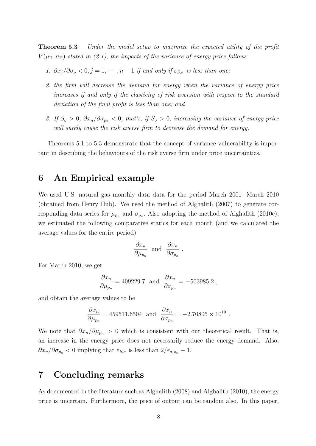Theorem 5.3 Under the model setup to maximize the expected utility of the profit  $V(\mu_{\Pi}, \sigma_{\Pi})$  stated in (2.1), the impacts of the variance of energy price follows:

- 1.  $\partial x_j/\partial \sigma_p < 0, j = 1, \cdots, n-1$  if and only if  $\varepsilon_{S,\sigma}$  is less than one;
- 2. the firm will decrease the demand for energy when the variance of energy price increases if and only if the elasticity of risk aversion with respect to the standard deviation of the final profit is less than one; and
- 3. If  $S_{\sigma} > 0$ ,  $\partial x_n / \partial \sigma_{p_n} < 0$ ; that's, if  $S_{\sigma} > 0$ , increasing the variance of energy price will surely cause the risk averse firm to decrease the demand for energy.

Theorems 5.1 to 5.3 demonstrate that the concept of variance vulnerability is important in describing the behaviours of the risk averse firm under price uncertainties.

### 6 An Empirical example

We used U.S. natural gas monthly data data for the period March 2001- March 2010 (obtained from Henry Hub). We used the method of Alghalith (2007) to generate corresponding data series for  $\mu_{p_n}$  and  $\sigma_{p_n}$ . Also adopting the method of Alghalith (2010c), we estimated the following comparative statics for each month (and we calculated the average values for the entire period)

$$
\frac{\partial x_n}{\partial \mu_{p_n}} \text{ and } \frac{\partial x_n}{\partial \sigma_{p_n}}.
$$

For March 2010, we get

$$
\frac{\partial x_n}{\partial \mu_{p_n}} = 409229.7 \text{ and } \frac{\partial x_n}{\partial \sigma_{p_n}} = -503985.2 ,
$$

and obtain the average values to be

$$
\frac{\partial x_n}{\partial \mu_{p_n}} = 459511.6504
$$
 and  $\frac{\partial x_n}{\partial \sigma_{p_n}} = -2.70805 \times 10^{19}$ .

We note that  $\partial x_n/\partial \mu_{p_n} > 0$  which is consistent with our theoretical result. That is, an increase in the energy price does not necessarily reduce the energy demand. Also,  $\partial x_n/\partial \sigma_{p_n} < 0$  implying that  $\varepsilon_{S,\sigma}$  is less than  $2/\varepsilon_{\sigma,x_n} - 1$ .

## 7 Concluding remarks

As documented in the literature such as Alghalith (2008) and Alghalith (2010), the energy price is uncertain. Furthermore, the price of output can be random also. In this paper,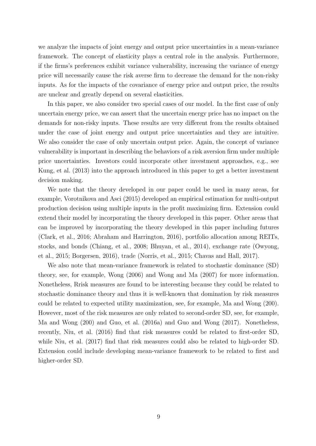we analyze the impacts of joint energy and output price uncertainties in a mean-variance framework. The concept of elasticity plays a central role in the analysis. Furthermore, if the firms's preferences exhibit variance vulnerability, increasing the variance of energy price will necessarily cause the risk averse firm to decrease the demand for the non-risky inputs. As for the impacts of the covariance of energy price and output price, the results are unclear and greatly depend on several elasticities.

In this paper, we also consider two special cases of our model. In the first case of only uncertain energy price, we can assert that the uncertain energy price has no impact on the demands for non-risky inputs. These results are very different from the results obtained under the case of joint energy and output price uncertainties and they are intuitive. We also consider the case of only uncertain output price. Again, the concept of variance vulnerability is important in describing the behaviors of a risk aversion firm under multiple price uncertainties. Investors could incorporate other investment approaches, e.g., see Kung, et al. (2013) into the approach introduced in this paper to get a better investment decision making.

We note that the theory developed in our paper could be used in many areas, for example, Vorotnikova and Asci (2015) developed an empirical estimation for multi-output production decision using multiple inputs in the profit maximizing firm. Extension could extend their model by incorporating the theory developed in this paper. Other areas that can be improved by incorporating the theory developed in this paper including futures (Clark, et al., 2016; Abraham and Harrington, 2016), portfolio allocation among REITs, stocks, and bonds (Chiang, et al., 2008; Bhuyan, et al., 2014), exchange rate (Owyong, et al., 2015; Borgersen, 2016), trade (Norris, et al., 2015; Chavas and Hall, 2017).

We also note that mean-variance framework is related to stochastic dominance (SD) theory, see, for example, Wong (2006) and Wong and Ma (2007) for more information. Nonetheless, Rrisk measures are found to be interesting because they could be related to stochastic dominance theory and thus it is well-known that domination by risk measures could be related to expected utility maximization, see, for example, Ma and Wong (200). However, most of the risk measures are only related to second-order SD, see, for example, Ma and Wong (200) and Guo, et al. (2016a) and Guo and Wong (2017). Nonetheless, recently, Niu, et al. (2016) find that risk measures could be related to first-order SD, while Niu, et al. (2017) find that risk measures could also be related to high-order SD. Extension could include developing mean-variance framework to be related to first and higher-order SD.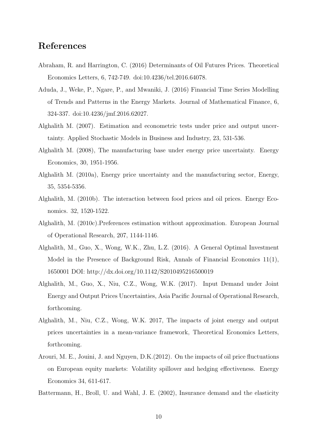## References

- Abraham, R. and Harrington, C. (2016) Determinants of Oil Futures Prices. Theoretical Economics Letters, 6, 742-749. doi:10.4236/tel.2016.64078.
- Aduda, J., Weke, P., Ngare, P., and Mwaniki, J. (2016) Financial Time Series Modelling of Trends and Patterns in the Energy Markets. Journal of Mathematical Finance, 6, 324-337. doi:10.4236/jmf.2016.62027.
- Alghalith M. (2007). Estimation and econometric tests under price and output uncertainty. Applied Stochastic Models in Business and Industry, 23, 531-536.
- Alghalith M. (2008), The manufacturing base under energy price uncertainty. Energy Economics, 30, 1951-1956.
- Alghalith M. (2010a), Energy price uncertainty and the manufacturing sector, Energy, 35, 5354-5356.
- Alghalith, M. (2010b). The interaction between food prices and oil prices. Energy Economics. 32, 1520-1522.
- Alghalith, M. (2010c).Preferences estimation without approximation. European Journal of Operational Research, 207, 1144-1146.
- Alghalith, M., Guo, X., Wong, W.K., Zhu, L.Z. (2016). A General Optimal Investment Model in the Presence of Background Risk, Annals of Financial Economics 11(1), 1650001 DOI: http://dx.doi.org/10.1142/S2010495216500019
- Alghalith, M., Guo, X., Niu, C.Z., Wong, W.K. (2017). Input Demand under Joint Energy and Output Prices Uncertainties, Asia Pacific Journal of Operational Research, forthcoming.
- Alghalith, M., Niu, C.Z., Wong, W.K. 2017, The impacts of joint energy and output prices uncertainties in a mean-variance framework, Theoretical Economics Letters, forthcoming.
- Arouri, M. E., Jouini, J. and Nguyen, D.K.(2012). On the impacts of oil price fluctuations on European equity markets: Volatility spillover and hedging effectiveness. Energy Economics 34, 611-617.
- Battermann, H., Broll, U. and Wahl, J. E. (2002), Insurance demand and the elasticity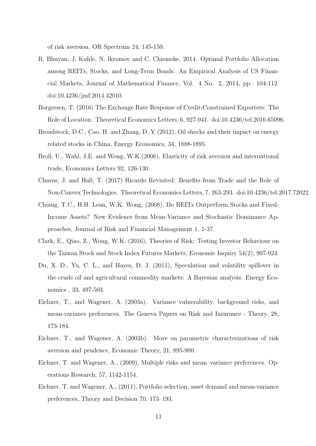of risk aversion, OR Spectrum 24, 145-150.

- R. Bhuyan, J. Kuhle, N. Ikromov and C. Chiemeke, 2014. Optimal Portfolio Allocation among REITs, Stocks, and Long-Term Bonds: An Empirical Analysis of US Financial Markets, Journal of Mathematical Finance, Vol. 4 No. 2, 2014, pp. 104-112. doi:10.4236/jmf.2014.42010.
- Borgersen, T. (2016) The Exchange Rate Response of Credit-Constrained Exporters: The Role of Location. Theoretical Economics Letters, 6, 927-941. doi:10.4236/tel.2016.65096.
- Broadstock, D.C., Cao, H. and Zhang, D. Y.(2012), Oil shocks and their impact on energy related stocks in China, Energy Economics, 34, 1888-1895.
- Broll, U., Wahl, J.E. and Wong, W.K.(2006), Elasticity of risk aversion and international trade, Economics Letters 92, 126-130.
- Chavas, J. and Hall, T. (2017) Ricardo Revisited: Benefits from Trade and the Role of Non-Convex Technologies. Theoretical Economics Letters, 7, 263-293. doi:10.4236/tel.2017.72022.
- Chiang, T.C., H.H. Lean, W.K. Wong, (2008), Do REITs Outperform Stocks and Fixed-Income Assets? New Evidence from Mean-Variance and Stochastic Dominance Approaches, Journal of Risk and Financial Management 1, 1-37.
- Clark, E., Qiao, Z., Wong, W.K. (2016), Theories of Risk: Testing Investor Behaviour on the Taiwan Stock and Stock Index Futures Markets, Economic Inquiry 54(2), 907-924.
- Du, X. D., Yu, C. L., and Hayes, D. J. (2011), Speculation and volatility spillover in the crude oil and agricultural commodity markets: A Bayesian analysis. Energy Economics , 33, 497-503.
- Eichner, T., and Wagener, A. (2003a). Variance vulnerability, background risks, and mean-variance preferences. The Geneva Papers on Risk and Insurance - Theory, 28, 173-184.
- Eichner, T., and Wagener, A. (2003b). More on parametric characterizations of risk aversion and prudence, Economic Theory, 21, 895-900.
- Eichner, T. and Wagener, A., (2009), Multiple risks and mean–variance preferences. Operations Research, 57, 1142-1154.
- Eichner, T. and Wagener, A., (2011), Portfolio selection, asset demand and mean-variance preferences, Theory and Decision 70, 173–193.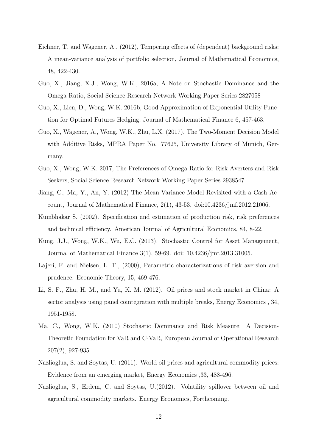- Eichner, T. and Wagener, A., (2012), Tempering effects of (dependent) background risks: A mean-variance analysis of portfolio selection, Journal of Mathematical Economics, 48, 422-430.
- Guo, X., Jiang, X.J., Wong, W.K., 2016a, A Note on Stochastic Dominance and the Omega Ratio, Social Science Research Network Working Paper Series 2827058
- Guo, X., Lien, D., Wong, W.K. 2016b, Good Approximation of Exponential Utility Function for Optimal Futures Hedging, Journal of Mathematical Finance 6, 457-463.
- Guo, X., Wagener, A., Wong, W.K., Zhu, L.X. (2017), The Two-Moment Decision Model with Additive Risks, MPRA Paper No. 77625, University Library of Munich, Germany.
- Guo, X., Wong, W.K. 2017, The Preferences of Omega Ratio for Risk Averters and Risk Seekers, Social Science Research Network Working Paper Series 2938547.
- Jiang, C., Ma, Y., An, Y. (2012) The Mean-Variance Model Revisited with a Cash Account, Journal of Mathematical Finance, 2(1), 43-53. doi:10.4236/jmf.2012.21006.
- Kumbhakar S. (2002). Specification and estimation of production risk, risk preferences and technical efficiency. American Journal of Agricultural Economics, 84, 8-22.
- Kung, J.J., Wong, W.K., Wu, E.C. (2013). Stochastic Control for Asset Management, Journal of Mathematical Finance 3(1), 59-69. doi: 10.4236/jmf.2013.31005.
- Lajeri, F. and Nielsen, L. T., (2000), Parametric characterizations of risk aversion and prudence. Economic Theory, 15, 469-476.
- Li, S. F., Zhu, H. M., and Yu, K. M. (2012). Oil prices and stock market in China: A sector analysis using panel cointegration with multiple breaks, Energy Economics , 34, 1951-1958.
- Ma, C., Wong, W.K. (2010) Stochastic Dominance and Risk Measure: A Decision-Theoretic Foundation for VaR and C-VaR, European Journal of Operational Research 207(2), 927-935.
- Nazlioglua, S. and Soytas, U. (2011). World oil prices and agricultural commodity prices: Evidence from an emerging market, Energy Economics ,33, 488-496.
- Nazlioglua, S., Erdem, C. and Soytas, U.(2012). Volatility spillover between oil and agricultural commodity markets. Energy Economics, Forthcoming.